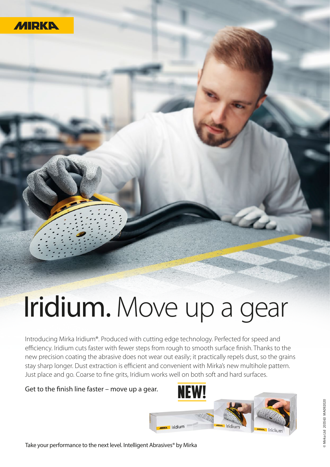

## Iridium. Move up a gear

Introducing Mirka Iridium®. Produced with cutting edge technology. Perfected for speed and efficiency. Iridium cuts faster with fewer steps from rough to smooth surface finish. Thanks to the new precision coating the abrasive does not wear out easily; it practically repels dust, so the grains stay sharp longer. Dust extraction is efficient and convenient with Mirka's new multihole pattern. Just place and go. Coarse to fine grits, Iridium works well on both soft and hard surfaces.

Get to the finish line faster – move up a gear.